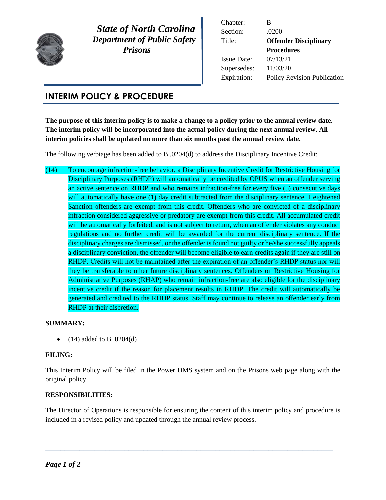

 *State of North Carolina Department of Public Safety Prisons* 

Chapter: B Section: .0200 Title: **Offender Disciplinary Procedures** Issue Date: 07/13/21 Supersedes: 11/03/20 Expiration: Policy Revision Publication

## **INTERIM POLICY & PROCEDURE**

**The purpose of this interim policy is to make a change to a policy prior to the annual review date. The interim policy will be incorporated into the actual policy during the next annual review. All interim policies shall be updated no more than six months past the annual review date.** 

The following verbiage has been added to B .0204(d) to address the Disciplinary Incentive Credit:

(14) To encourage infraction-free behavior, a Disciplinary Incentive Credit for Restrictive Housing for Disciplinary Purposes (RHDP) will automatically be credited by OPUS when an offender serving an active sentence on RHDP and who remains infraction-free for every five (5) consecutive days will automatically have one (1) day credit subtracted from the disciplinary sentence. Heightened Sanction offenders are exempt from this credit. Offenders who are convicted of a disciplinary infraction considered aggressive or predatory are exempt from this credit. All accumulated credit will be automatically forfeited, and is not subject to return, when an offender violates any conduct regulations and no further credit will be awarded for the current disciplinary sentence. If the disciplinary charges are dismissed, or the offender is found not guilty or he/she successfully appeals a disciplinary conviction, the offender will become eligible to earn credits again if they are still on RHDP. Credits will not be maintained after the expiration of an offender's RHDP status nor will they be transferable to other future disciplinary sentences. Offenders on Restrictive Housing for Administrative Purposes (RHAP) who remain infraction-free are also eligible for the disciplinary incentive credit if the reason for placement results in RHDP. The credit will automatically be generated and credited to the RHDP status. Staff may continue to release an offender early from RHDP at their discretion.

## **SUMMARY:**

 $\bullet$  (14) added to B .0204(d)

## **FILING:**

This Interim Policy will be filed in the Power DMS system and on the Prisons web page along with the original policy.

## **RESPONSIBILITIES:**

The Director of Operations is responsible for ensuring the content of this interim policy and procedure is included in a revised policy and updated through the annual review process.

**\_\_\_\_\_\_\_\_\_\_\_\_\_\_\_\_\_\_\_\_\_\_\_\_\_\_\_\_\_\_\_\_\_\_\_\_\_\_\_\_\_\_\_\_\_\_\_\_\_\_\_\_\_\_\_\_\_\_\_\_\_\_\_\_\_\_\_\_\_\_\_\_\_\_\_\_**